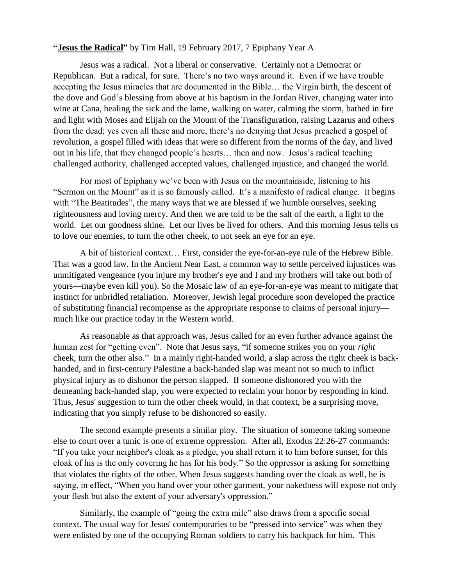## **"Jesus the Radical"** by Tim Hall, 19 February 2017, 7 Epiphany Year A

Jesus was a radical. Not a liberal or conservative. Certainly not a Democrat or Republican. But a radical, for sure. There's no two ways around it. Even if we have trouble accepting the Jesus miracles that are documented in the Bible… the Virgin birth, the descent of the dove and God's blessing from above at his baptism in the Jordan River, changing water into wine at Cana, healing the sick and the lame, walking on water, calming the storm, bathed in fire and light with Moses and Elijah on the Mount of the Transfiguration, raising Lazarus and others from the dead; yes even all these and more, there's no denying that Jesus preached a gospel of revolution, a gospel filled with ideas that were so different from the norms of the day, and lived out in his life, that they changed people's hearts… then and now. Jesus's radical teaching challenged authority, challenged accepted values, challenged injustice, and changed the world.

For most of Epiphany we've been with Jesus on the mountainside, listening to his "Sermon on the Mount" as it is so famously called. It's a manifesto of radical change. It begins with "The Beatitudes", the many ways that we are blessed if we humble ourselves, seeking righteousness and loving mercy. And then we are told to be the salt of the earth, a light to the world. Let our goodness shine. Let our lives be lived for others. And this morning Jesus tells us to love our enemies, to turn the other cheek, to not seek an eye for an eye.

A bit of historical context… First, consider the eye-for-an-eye rule of the Hebrew Bible. That was a good law. In the Ancient Near East, a common way to settle perceived injustices was unmitigated vengeance (you injure my brother's eye and I and my brothers will take out both of yours—maybe even kill you). So the Mosaic law of an eye-for-an-eye was meant to mitigate that instinct for unbridled retaliation. Moreover, Jewish legal procedure soon developed the practice of substituting financial recompense as the appropriate response to claims of personal injury much like our practice today in the Western world.

As reasonable as that approach was, Jesus called for an even further advance against the human zest for "getting even". Note that Jesus says, "if someone strikes you on your *right* cheek, turn the other also." In a mainly right-handed world, a slap across the right cheek is backhanded, and in first-century Palestine a back-handed slap was meant not so much to inflict physical injury as to dishonor the person slapped. If someone dishonored you with the demeaning back-handed slap, you were expected to reclaim your honor by responding in kind. Thus, Jesus' suggestion to turn the other cheek would, in that context, be a surprising move, indicating that you simply refuse to be dishonored so easily.

The second example presents a similar ploy. The situation of someone taking someone else to court over a tunic is one of extreme oppression. After all, Exodus 22:26-27 commands: "If you take your neighbor's cloak as a pledge, you shall return it to him before sunset, for this cloak of his is the only covering he has for his body." So the oppressor is asking for something that violates the rights of the other. When Jesus suggests handing over the cloak as well, he is saying, in effect, "When you hand over your other garment, your nakedness will expose not only your flesh but also the extent of your adversary's oppression."

Similarly, the example of "going the extra mile" also draws from a specific social context. The usual way for Jesus' contemporaries to be "pressed into service" was when they were enlisted by one of the occupying Roman soldiers to carry his backpack for him. This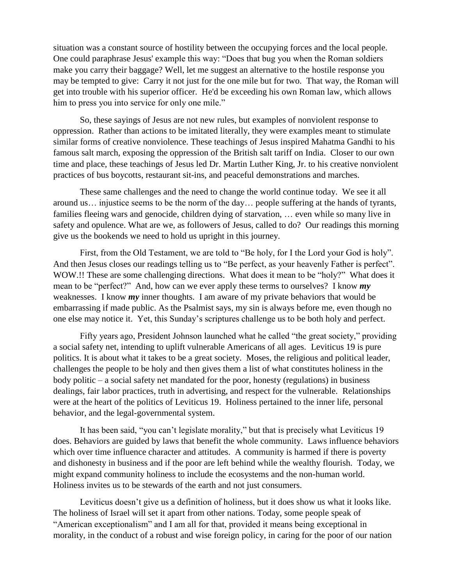situation was a constant source of hostility between the occupying forces and the local people. One could paraphrase Jesus' example this way: "Does that bug you when the Roman soldiers make you carry their baggage? Well, let me suggest an alternative to the hostile response you may be tempted to give: Carry it not just for the one mile but for two. That way, the Roman will get into trouble with his superior officer. He'd be exceeding his own Roman law, which allows him to press you into service for only one mile."

So, these sayings of Jesus are not new rules, but examples of nonviolent response to oppression. Rather than actions to be imitated literally, they were examples meant to stimulate similar forms of creative nonviolence. These teachings of Jesus inspired Mahatma Gandhi to his famous salt march, exposing the oppression of the British salt tariff on India. Closer to our own time and place, these teachings of Jesus led Dr. Martin Luther King, Jr. to his creative nonviolent practices of bus boycotts, restaurant sit-ins, and peaceful demonstrations and marches.

These same challenges and the need to change the world continue today. We see it all around us… injustice seems to be the norm of the day… people suffering at the hands of tyrants, families fleeing wars and genocide, children dying of starvation, … even while so many live in safety and opulence. What are we, as followers of Jesus, called to do? Our readings this morning give us the bookends we need to hold us upright in this journey.

First, from the Old Testament, we are told to "Be holy, for I the Lord your God is holy". And then Jesus closes our readings telling us to "Be perfect, as your heavenly Father is perfect". WOW.!! These are some challenging directions. What does it mean to be "holy?" What does it mean to be "perfect?" And, how can we ever apply these terms to ourselves? I know *my* weaknesses. I know *my* inner thoughts. I am aware of my private behaviors that would be embarrassing if made public. As the Psalmist says, my sin is always before me, even though no one else may notice it. Yet, this Sunday's scriptures challenge us to be both holy and perfect.

Fifty years ago, President Johnson launched what he called "the great society," providing a social safety net, intending to uplift vulnerable Americans of all ages. Leviticus 19 is pure politics. It is about what it takes to be a great society. Moses, the religious and political leader, challenges the people to be holy and then gives them a list of what constitutes holiness in the body politic – a social safety net mandated for the poor, honesty (regulations) in business dealings, fair labor practices, truth in advertising, and respect for the vulnerable. Relationships were at the heart of the politics of Leviticus 19. Holiness pertained to the inner life, personal behavior, and the legal-governmental system.

It has been said, "you can't legislate morality," but that is precisely what Leviticus 19 does. Behaviors are guided by laws that benefit the whole community. Laws influence behaviors which over time influence character and attitudes. A community is harmed if there is poverty and dishonesty in business and if the poor are left behind while the wealthy flourish. Today, we might expand community holiness to include the ecosystems and the non-human world. Holiness invites us to be stewards of the earth and not just consumers.

Leviticus doesn't give us a definition of holiness, but it does show us what it looks like. The holiness of Israel will set it apart from other nations. Today, some people speak of "American exceptionalism" and I am all for that, provided it means being exceptional in morality, in the conduct of a robust and wise foreign policy, in caring for the poor of our nation